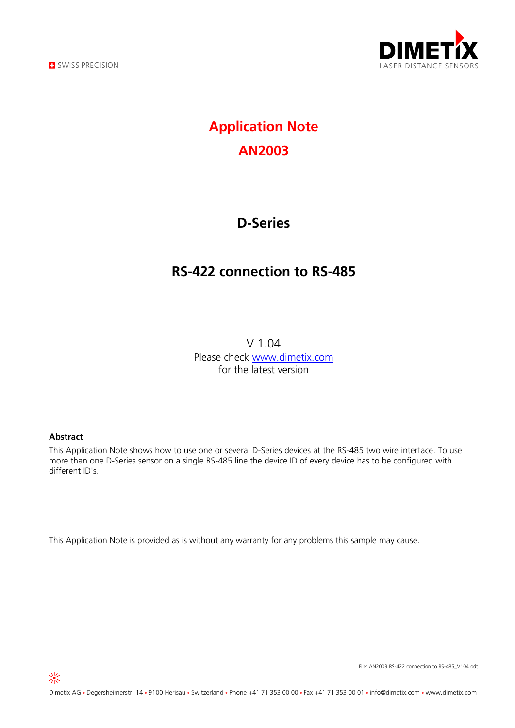



# **Application Note AN2003**

## **D-Series**

## **RS-422 connection to RS-485**

V 1.04 Please check [www.dimetix.com](http://www.dimetix.com/) for the latest version

#### **Abstract**

This Application Note shows how to use one or several D-Series devices at the RS-485 two wire interface. To use more than one D-Series sensor on a single RS-485 line the device ID of every device has to be confgured with different ID's.

This Application Note is provided as is without any warranty for any problems this sample may cause.

File: AN2003 RS-422 connection to RS-485\_V104.odt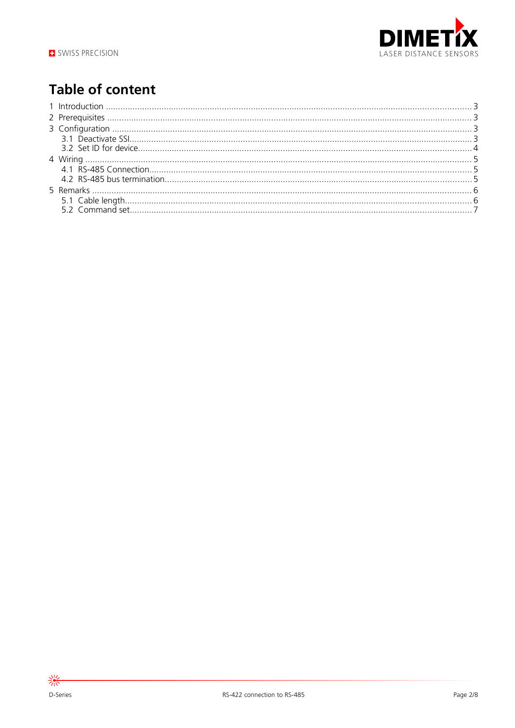

# **Table of content**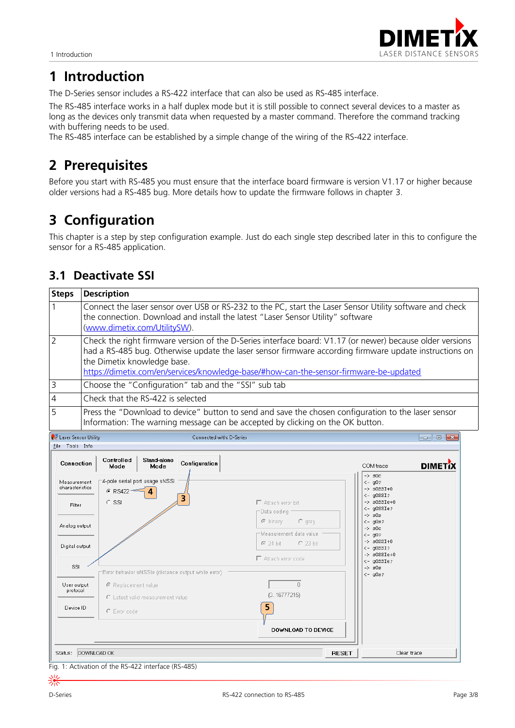

## **1 Introduction**

The D-Series sensor includes a RS-422 interface that can also be used as RS-485 interface.

The RS-485 interface works in a half duplex mode but it is still possible to connect several devices to a master as long as the devices only transmit data when requested by a master command. Therefore the command tracking with buffering needs to be used.

The RS-485 interface can be established by a simple change of the wiring of the RS-422 interface.

## **2 Prerequisites**

Before you start with RS-485 you must ensure that the interface board frmware is version V1.17 or higher because older versions had a RS-485 bug. More details how to update the frmware follows in chapter [3.](#page-2-0)

## <span id="page-2-0"></span>**3** Configuration

This chapter is a step by step confguration example. Just do each single step described later in this to confgure the sensor for a RS-485 application.

### **3.1 Deactivate SSI**

| Steps          | <b>Description</b>                                                                                                                                                                                                                                                                                                                           |
|----------------|----------------------------------------------------------------------------------------------------------------------------------------------------------------------------------------------------------------------------------------------------------------------------------------------------------------------------------------------|
|                | Connect the laser sensor over USB or RS-232 to the PC, start the Laser Sensor Utility software and check<br>the connection. Download and install the latest "Laser Sensor Utility" software<br>(www.dimetix.com/UtilitySW).                                                                                                                  |
| $\overline{2}$ | Check the right firmware version of the D-Series interface board: V1.17 (or newer) because older versions<br>had a RS-485 bug. Otherwise update the laser sensor firmware according firmware update instructions on<br>the Dimetix knowledge base.<br>https://dimetix.com/en/services/knowledge-base/#how-can-the-sensor-firmware-be-updated |
| l 3            | Choose the "Configuration" tab and the "SSI" sub tab                                                                                                                                                                                                                                                                                         |
| $\overline{4}$ | Check that the RS-422 is selected                                                                                                                                                                                                                                                                                                            |
| $\overline{5}$ | Press the "Download to device" button to send and save the chosen configuration to the laser sensor<br>Information: The warning message can be accepted by clicking on the OK button.                                                                                                                                                        |

Laser Sensor Utility

Connected with: D-Series

| Connection                               | Controlled<br>Stand-alone<br>Configuration<br>Mode<br>Mode                    |                                                                                                        | COM trace                                                                                                                                    | <b>DIMETIX</b> |
|------------------------------------------|-------------------------------------------------------------------------------|--------------------------------------------------------------------------------------------------------|----------------------------------------------------------------------------------------------------------------------------------------------|----------------|
| Measurement<br>characteristics<br>Filter | 4-pole serial port usage sNSSI<br>$F$ RS422 -<br>$\overline{4}$<br>3<br>C SSI | $\Gamma$ Attach error bit<br>Data coding                                                               | $\rightarrow$ s0c<br>$<-$ q0?<br>$\rightarrow$ $s0SSI+0$<br>$<-$ q $0$ SSI?<br>$\rightarrow$ s0SSIe+0<br>$<-$ q0SSIe?<br>$\rightarrow$ $80s$ |                |
| Analog output<br>Digital output          |                                                                               | $C$ gray<br>C binary<br>Measurement data value<br>$624 \text{ bit}$<br>$C$ 23 bit<br>Attach error code | $<-$ q $0s$ ?<br>$\rightarrow$ $30c$<br>$<-$ q0?<br>$\rightarrow$ $s0SSI+0$<br>$<-$ q $0$ SSI?<br>$\rightarrow$ s0SSIe+0                     |                |
| SSI                                      | Error behavior sNSSIe (distance output while error)                           |                                                                                                        | $<-$ q0SSIe?<br>$\rightarrow$ $30s$<br>$<-$ q $0s$ ?                                                                                         |                |
| User output<br>protocol                  | € Replacement value<br>C Latest valid measurement value                       | $\begin{array}{c} 0 \end{array}$<br>(016777215)                                                        |                                                                                                                                              |                |
| Device ID                                | C Error code                                                                  | 5<br><b>DOWNLOAD TO DEVICE</b>                                                                         |                                                                                                                                              |                |
| Status: DOWNLOAD OK                      |                                                                               | <b>RESET</b>                                                                                           | Clear trace                                                                                                                                  |                |

Fig. 1: Activation of the RS-422 interface (RS-485)

 $\boxed{\blacksquare}$   $\boxed{\blacksquare}$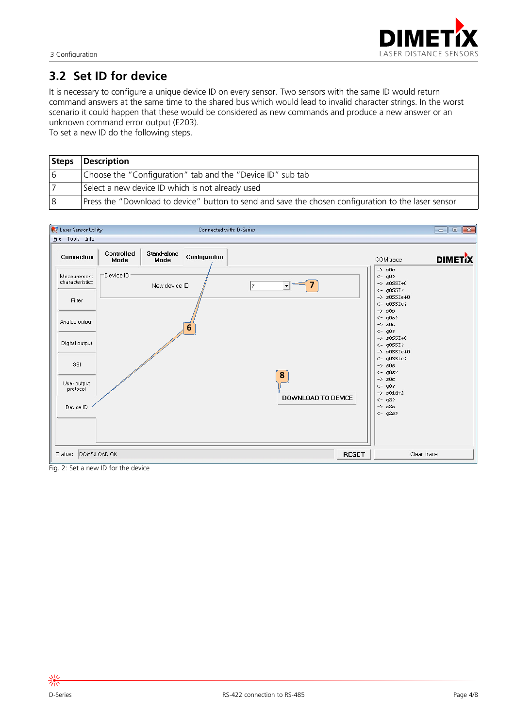

### **3.2 Set ID for device**

It is necessary to confgure a unique device ID on every sensor. Two sensors with the same ID would return command answers at the same time to the shared bus which would lead to invalid character strings. In the worst scenario it could happen that these would be considered as new commands and produce a new answer or an unknown command error output (E203).

To set a new ID do the following steps.

|    | Steps Description                                                                                   |
|----|-----------------------------------------------------------------------------------------------------|
| 16 | Choose the "Configuration" tab and the "Device ID" sub tab                                          |
|    | Select a new device ID which is not already used                                                    |
| 8  | Press the "Download to device" button to send and save the chosen configuration to the laser sensor |



Fig. 2: Set a new ID for the device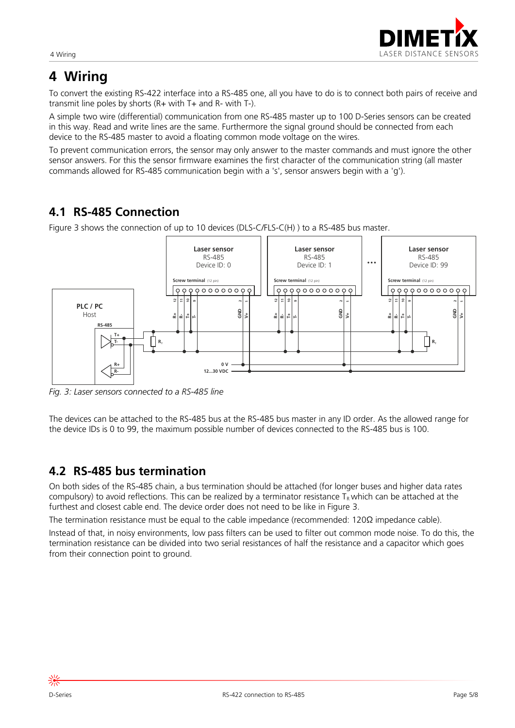

# **4** Wiring

To convert the existing RS-422 interface into a RS-485 one, all you have to do is to connect both pairs of receive and transmit line poles by shorts (R+ with T+ and R- with T-).

A simple two wire (differential) communication from one RS-485 master up to 100 D-Series sensors can be created in this way. Read and write lines are the same. Furthermore the signal ground should be connected from each device to the RS-485 master to avoid a floating common mode voltage on the wires.

To prevent communication errors, the sensor may only answer to the master commands and must ignore the other sensor answers. For this the sensor frmware examines the frst character of the communication string (all master commands allowed for RS-485 communication begin with a 's', sensor answers begin with a 'g').

## **4.1 RS-485 Connection**

Figure [3](#page-4-0) shows the connection of up to 10 devices (DLS-C/FLS-C(H) ) to a RS-485 bus master.



<span id="page-4-0"></span>*Fig. 3: Laser sensors connected to a RS-485 line*

The devices can be attached to the RS-485 bus at the RS-485 bus master in any ID order. As the allowed range for the device IDs is 0 to 99, the maximum possible number of devices connected to the RS-485 bus is 100.

### <span id="page-4-1"></span>**4.2 RS-485 bus termination**

On both sides of the RS-485 chain, a bus termination should be attached (for longer buses and higher data rates compulsory) to avoid reflections. This can be realized by a terminator resistance  $T_R$  which can be attached at the furthest and closest cable end. The device order does not need to be like in Figure [3.](#page-4-0)

The termination resistance must be equal to the cable impedance (recommended: 120Ω impedance cable).

Instead of that, in noisy environments, low pass flters can be used to flter out common mode noise. To do this, the termination resistance can be divided into two serial resistances of half the resistance and a capacitor which goes from their connection point to ground.

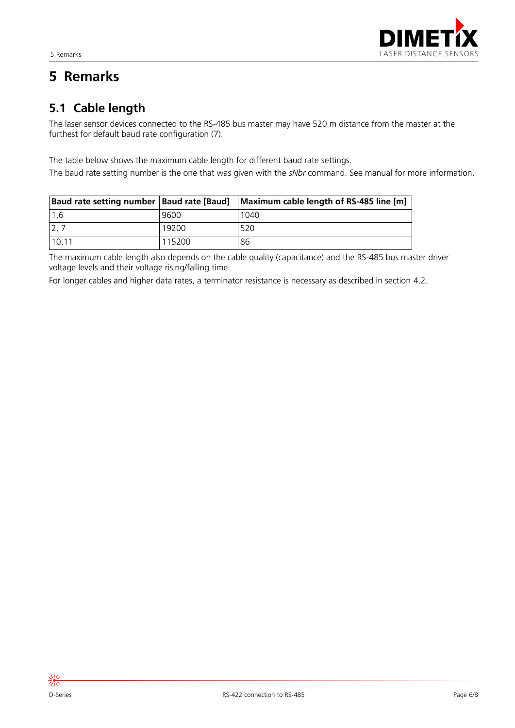# **5 Remarks**

## **5.1 Cable length**

The laser sensor devices connected to the RS-485 bus master may have 520 m distance from the master at the furthest for default baud rate configuration (7).

The table below shows the maximum cable length for different baud rate settings.

The baud rate setting number is the one that was given with the *sNbr* command. See manual for more information.

| Baud rate setting number   Baud rate [Baud] |        | Maximum cable length of RS-485 line [m] |
|---------------------------------------------|--------|-----------------------------------------|
| 1.6                                         | 9600   | 1040                                    |
|                                             | 19200  | 520                                     |
| 10,11                                       | 115200 | 86                                      |

The maximum cable length also depends on the cable quality (capacitance) and the RS-485 bus master driver voltage levels and their voltage rising/falling time.

For longer cables and higher data rates, a terminator resistance is necessary as described in section [4.2.](#page-4-1)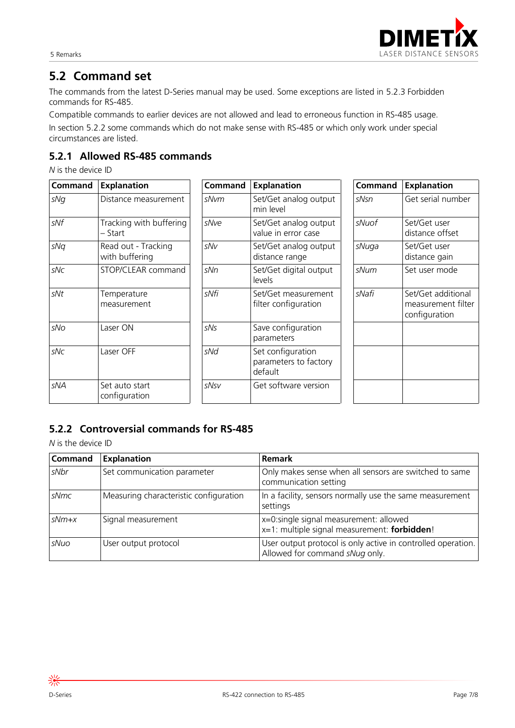

### **5.2 Command set**

The commands from the latest D-Series manual may be used. Some exceptions are listed in [5.2.3](#page-7-0) [Forbidden](#page-7-0)  [commands for RS-485.](#page-7-0)

Compatible commands to earlier devices are not allowed and lead to erroneous function in RS-485 usage. In section [5.2.2](#page-6-0) some commands which do not make sense with RS-485 or which only work under special circumstances are listed.

#### **5.2.1 Allowed RS-485 commands**

*N* is the device ID

| <b>Command</b> | <b>Explanation</b>                    | <b>Command</b> | <b>Explanation</b>                                    | Command | <b>Explanation</b>                                        |
|----------------|---------------------------------------|----------------|-------------------------------------------------------|---------|-----------------------------------------------------------|
| sNg            | Distance measurement                  | sNvm           | Set/Get analog output<br>min level                    | sNsn    | Get serial number                                         |
| sNf            | Tracking with buffering<br>– Start    | sNve           | Set/Get analog output<br>value in error case          | sNuof   | Set/Get user<br>distance offset                           |
| sNq            | Read out - Tracking<br>with buffering | sNv            | Set/Get analog output<br>distance range               | sNuga   | Set/Get user<br>distance gain                             |
| sNc            | STOP/CLEAR command                    | sNn            | Set/Get digital output<br>levels                      | sNum    | Set user mode                                             |
| sNt            | Temperature<br>measurement            | sNfi           | Set/Get measurement<br>filter configuration           | sNafi   | Set/Get additional<br>measurement filter<br>configuration |
| sNo            | Laser ON                              | sNs            | Save configuration<br>parameters                      |         |                                                           |
| sNc            | Laser OFF                             | sNd            | Set configuration<br>parameters to factory<br>default |         |                                                           |
| sNA            | Set auto start<br>configuration       | sNsv           | Get software version                                  |         |                                                           |

#### <span id="page-6-0"></span>**5.2.2 Controversial commands for RS-485**

*N* is the device ID

| <b>Command</b> | <b>Explanation</b>                     | <b>Remark</b>                                                                                  |
|----------------|----------------------------------------|------------------------------------------------------------------------------------------------|
| sNbr           | Set communication parameter            | Only makes sense when all sensors are switched to same<br>communication setting                |
| sNmc           | Measuring characteristic configuration | In a facility, sensors normally use the same measurement<br>settings                           |
| $sNm+x$        | Signal measurement                     | x=0:single signal measurement: allowed<br>x=1: multiple signal measurement: forbidden!         |
| sNuo           | User output protocol                   | User output protocol is only active in controlled operation.<br>Allowed for command sNug only. |